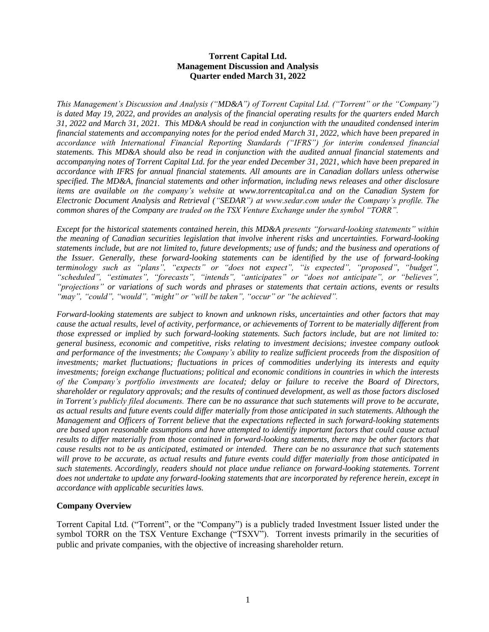## **Torrent Capital Ltd. Management Discussion and Analysis Quarter ended March 31, 2022**

*This Management's Discussion and Analysis ("MD&A") of Torrent Capital Ltd. ("Torrent" or the "Company") is dated May 19, 2022, and provides an analysis of the financial operating results for the quarters ended March 31, 2022 and March 31, 2021. This MD&A should be read in conjunction with the unaudited condensed interim financial statements and accompanying notes for the period ended March 31, 2022, which have been prepared in accordance with International Financial Reporting Standards ("IFRS") for interim condensed financial statements. This MD&A should also be read in conjunction with the audited annual financial statements and accompanying notes of Torrent Capital Ltd. for the year ended December 31, 2021, which have been prepared in accordance with IFRS for annual financial statements. All amounts are in Canadian dollars unless otherwise specified. The MD&A, financial statements and other information, including news releases and other disclosure items are available on the company's website at www.torrentcapital.ca and on the Canadian System for Electronic Document Analysis and Retrieval ("SEDAR") at www.sedar.com under the Company's profile. The common shares of the Company are traded on the TSX Venture Exchange under the symbol "TORR".* 

*Except for the historical statements contained herein, this MD&A presents "forward-looking statements" within the meaning of Canadian securities legislation that involve inherent risks and uncertainties. Forward-looking statements include, but are not limited to, future developments; use of funds; and the business and operations of the Issuer. Generally, these forward-looking statements can be identified by the use of forward-looking terminology such as "plans", "expects" or "does not expect", "is expected", "proposed", "budget", "scheduled", "estimates", "forecasts", "intends", "anticipates" or "does not anticipate", or "believes", "projections" or variations of such words and phrases or statements that certain actions, events or results "may", "could", "would", "might" or "will be taken", "occur" or "be achieved".* 

*Forward-looking statements are subject to known and unknown risks, uncertainties and other factors that may cause the actual results, level of activity, performance, or achievements of Torrent to be materially different from those expressed or implied by such forward-looking statements. Such factors include, but are not limited to: general business, economic and competitive, risks relating to investment decisions; investee company outlook and performance of the investments; the Company's ability to realize sufficient proceeds from the disposition of investments; market fluctuations; fluctuations in prices of commodities underlying its interests and equity investments; foreign exchange fluctuations; political and economic conditions in countries in which the interests of the Company's portfolio investments are located; delay or failure to receive the Board of Directors, shareholder or regulatory approvals; and the results of continued development, as well as those factors disclosed in Torrent's publicly filed documents. There can be no assurance that such statements will prove to be accurate, as actual results and future events could differ materially from those anticipated in such statements. Although the Management and Officers of Torrent believe that the expectations reflected in such forward-looking statements are based upon reasonable assumptions and have attempted to identify important factors that could cause actual results to differ materially from those contained in forward-looking statements, there may be other factors that cause results not to be as anticipated, estimated or intended. There can be no assurance that such statements will prove to be accurate, as actual results and future events could differ materially from those anticipated in such statements. Accordingly, readers should not place undue reliance on forward-looking statements. Torrent does not undertake to update any forward-looking statements that are incorporated by reference herein, except in accordance with applicable securities laws.*

## **Company Overview**

Torrent Capital Ltd. ("Torrent", or the "Company") is a publicly traded Investment Issuer listed under the symbol TORR on the TSX Venture Exchange ("TSXV"). Torrent invests primarily in the securities of public and private companies, with the objective of increasing shareholder return.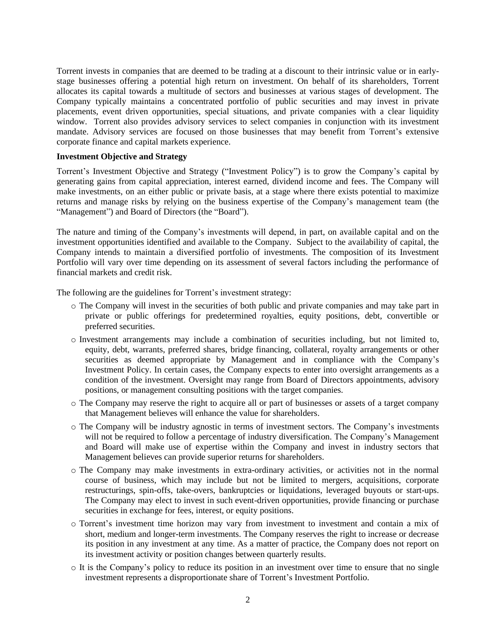Torrent invests in companies that are deemed to be trading at a discount to their intrinsic value or in earlystage businesses offering a potential high return on investment. On behalf of its shareholders, Torrent allocates its capital towards a multitude of sectors and businesses at various stages of development. The Company typically maintains a concentrated portfolio of public securities and may invest in private placements, event driven opportunities, special situations, and private companies with a clear liquidity window. Torrent also provides advisory services to select companies in conjunction with its investment mandate. Advisory services are focused on those businesses that may benefit from Torrent's extensive corporate finance and capital markets experience.

#### **Investment Objective and Strategy**

Torrent's Investment Objective and Strategy ("Investment Policy") is to grow the Company's capital by generating gains from capital appreciation, interest earned, dividend income and fees. The Company will make investments, on an either public or private basis, at a stage where there exists potential to maximize returns and manage risks by relying on the business expertise of the Company's management team (the "Management") and Board of Directors (the "Board").

The nature and timing of the Company's investments will depend, in part, on available capital and on the investment opportunities identified and available to the Company. Subject to the availability of capital, the Company intends to maintain a diversified portfolio of investments. The composition of its Investment Portfolio will vary over time depending on its assessment of several factors including the performance of financial markets and credit risk.

The following are the guidelines for Torrent's investment strategy:

- o The Company will invest in the securities of both public and private companies and may take part in private or public offerings for predetermined royalties, equity positions, debt, convertible or preferred securities.
- o Investment arrangements may include a combination of securities including, but not limited to, equity, debt, warrants, preferred shares, bridge financing, collateral, royalty arrangements or other securities as deemed appropriate by Management and in compliance with the Company's Investment Policy. In certain cases, the Company expects to enter into oversight arrangements as a condition of the investment. Oversight may range from Board of Directors appointments, advisory positions, or management consulting positions with the target companies.
- o The Company may reserve the right to acquire all or part of businesses or assets of a target company that Management believes will enhance the value for shareholders.
- o The Company will be industry agnostic in terms of investment sectors. The Company's investments will not be required to follow a percentage of industry diversification. The Company's Management and Board will make use of expertise within the Company and invest in industry sectors that Management believes can provide superior returns for shareholders.
- o The Company may make investments in extra-ordinary activities, or activities not in the normal course of business, which may include but not be limited to mergers, acquisitions, corporate restructurings, spin-offs, take-overs, bankruptcies or liquidations, leveraged buyouts or start-ups. The Company may elect to invest in such event-driven opportunities, provide financing or purchase securities in exchange for fees, interest, or equity positions.
- o Torrent's investment time horizon may vary from investment to investment and contain a mix of short, medium and longer-term investments. The Company reserves the right to increase or decrease its position in any investment at any time. As a matter of practice, the Company does not report on its investment activity or position changes between quarterly results.
- o It is the Company's policy to reduce its position in an investment over time to ensure that no single investment represents a disproportionate share of Torrent's Investment Portfolio.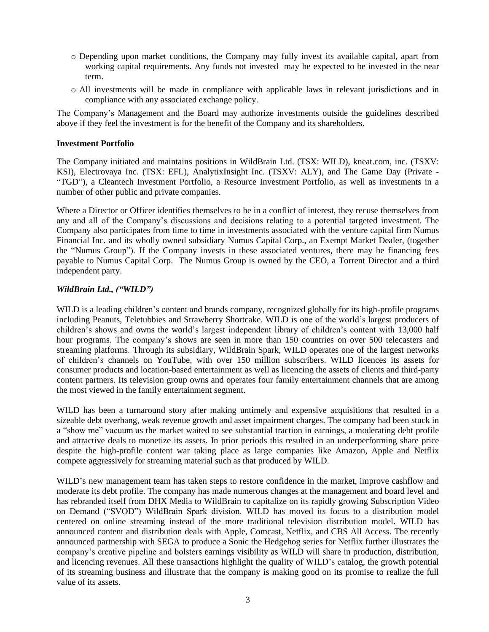- o Depending upon market conditions, the Company may fully invest its available capital, apart from working capital requirements. Any funds not invested may be expected to be invested in the near term.
- o All investments will be made in compliance with applicable laws in relevant jurisdictions and in compliance with any associated exchange policy.

The Company's Management and the Board may authorize investments outside the guidelines described above if they feel the investment is for the benefit of the Company and its shareholders.

### **Investment Portfolio**

The Company initiated and maintains positions in WildBrain Ltd. (TSX: WILD), kneat.com, inc. (TSXV: KSI), Electrovaya Inc. (TSX: EFL), AnalytixInsight Inc. (TSXV: ALY), and The Game Day (Private - "TGD"), a Cleantech Investment Portfolio, a Resource Investment Portfolio, as well as investments in a number of other public and private companies.

Where a Director or Officer identifies themselves to be in a conflict of interest, they recuse themselves from any and all of the Company's discussions and decisions relating to a potential targeted investment. The Company also participates from time to time in investments associated with the venture capital firm Numus Financial Inc. and its wholly owned subsidiary Numus Capital Corp., an Exempt Market Dealer, (together the "Numus Group"). If the Company invests in these associated ventures, there may be financing fees payable to Numus Capital Corp. The Numus Group is owned by the CEO, a Torrent Director and a third independent party.

## *WildBrain Ltd., ("WILD")*

WILD is a leading children's content and brands company, recognized globally for its high-profile programs including Peanuts, Teletubbies and Strawberry Shortcake. WILD is one of the world's largest producers of children's shows and owns the world's largest independent library of children's content with 13,000 half hour programs. The company's shows are seen in more than 150 countries on over 500 telecasters and streaming platforms. Through its subsidiary, WildBrain Spark, WILD operates one of the largest networks of children's channels on YouTube, with over 150 million subscribers. WILD licences its assets for consumer products and location-based entertainment as well as licencing the assets of clients and third-party content partners. Its television group owns and operates four family entertainment channels that are among the most viewed in the family entertainment segment.

WILD has been a turnaround story after making untimely and expensive acquisitions that resulted in a sizeable debt overhang, weak revenue growth and asset impairment charges. The company had been stuck in a "show me" vacuum as the market waited to see substantial traction in earnings, a moderating debt profile and attractive deals to monetize its assets. In prior periods this resulted in an underperforming share price despite the high-profile content war taking place as large companies like Amazon, Apple and Netflix compete aggressively for streaming material such as that produced by WILD.

WILD's new management team has taken steps to restore confidence in the market, improve cashflow and moderate its debt profile. The company has made numerous changes at the management and board level and has rebranded itself from DHX Media to WildBrain to capitalize on its rapidly growing Subscription Video on Demand ("SVOD") WildBrain Spark division. WILD has moved its focus to a distribution model centered on online streaming instead of the more traditional television distribution model. WILD has announced content and distribution deals with Apple, Comcast, Netflix, and CBS All Access. The recently announced partnership with SEGA to produce a Sonic the Hedgehog series for Netflix further illustrates the company's creative pipeline and bolsters earnings visibility as WILD will share in production, distribution, and licencing revenues. All these transactions highlight the quality of WILD's catalog, the growth potential of its streaming business and illustrate that the company is making good on its promise to realize the full value of its assets.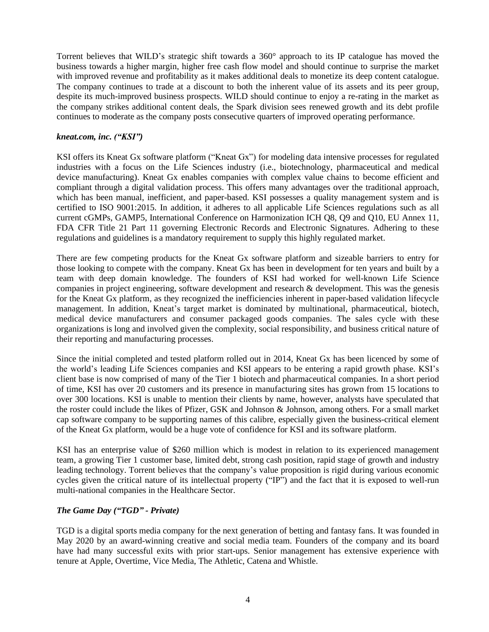Torrent believes that WILD's strategic shift towards a 360° approach to its IP catalogue has moved the business towards a higher margin, higher free cash flow model and should continue to surprise the market with improved revenue and profitability as it makes additional deals to monetize its deep content catalogue. The company continues to trade at a discount to both the inherent value of its assets and its peer group, despite its much-improved business prospects. WILD should continue to enjoy a re-rating in the market as the company strikes additional content deals, the Spark division sees renewed growth and its debt profile continues to moderate as the company posts consecutive quarters of improved operating performance.

### *kneat.com, inc. ("KSI")*

KSI offers its Kneat Gx software platform ("Kneat Gx") for modeling data intensive processes for regulated industries with a focus on the Life Sciences industry (i.e., biotechnology, pharmaceutical and medical device manufacturing). Kneat Gx enables companies with complex value chains to become efficient and compliant through a digital validation process. This offers many advantages over the traditional approach, which has been manual, inefficient, and paper-based. KSI possesses a quality management system and is certified to ISO 9001:2015. In addition, it adheres to all applicable Life Sciences regulations such as all current cGMPs, GAMP5, International Conference on Harmonization ICH Q8, Q9 and Q10, EU Annex 11, FDA CFR Title 21 Part 11 governing Electronic Records and Electronic Signatures. Adhering to these regulations and guidelines is a mandatory requirement to supply this highly regulated market.

There are few competing products for the Kneat Gx software platform and sizeable barriers to entry for those looking to compete with the company. Kneat Gx has been in development for ten years and built by a team with deep domain knowledge. The founders of KSI had worked for well-known Life Science companies in project engineering, software development and research & development. This was the genesis for the Kneat Gx platform, as they recognized the inefficiencies inherent in paper-based validation lifecycle management. In addition, Kneat's target market is dominated by multinational, pharmaceutical, biotech, medical device manufacturers and consumer packaged goods companies. The sales cycle with these organizations is long and involved given the complexity, social responsibility, and business critical nature of their reporting and manufacturing processes.

Since the initial completed and tested platform rolled out in 2014, Kneat Gx has been licenced by some of the world's leading Life Sciences companies and KSI appears to be entering a rapid growth phase. KSI's client base is now comprised of many of the Tier 1 biotech and pharmaceutical companies. In a short period of time, KSI has over 20 customers and its presence in manufacturing sites has grown from 15 locations to over 300 locations. KSI is unable to mention their clients by name, however, analysts have speculated that the roster could include the likes of Pfizer, GSK and Johnson & Johnson, among others. For a small market cap software company to be supporting names of this calibre, especially given the business-critical element of the Kneat Gx platform, would be a huge vote of confidence for KSI and its software platform.

KSI has an enterprise value of \$260 million which is modest in relation to its experienced management team, a growing Tier 1 customer base, limited debt, strong cash position, rapid stage of growth and industry leading technology. Torrent believes that the company's value proposition is rigid during various economic cycles given the critical nature of its intellectual property ("IP") and the fact that it is exposed to well-run multi-national companies in the Healthcare Sector.

## *The Game Day ("TGD" - Private)*

[TGD](https://cts.businesswire.com/ct/CT?id=smartlink&url=https%3A%2F%2Fthegameday.com%2F&esheet=52543186&newsitemid=20211201005726&lan=en-US&anchor=The+Game+Day&index=3&md5=1faf7905c6c987e26f0291fe23202ee1) is a digital sports media company for the next generation of betting and fantasy fans. It was founded in May 2020 by an award-winning creative and social media team. Founders of the company and its board have had many successful exits with prior start-ups. Senior management has extensive experience with tenure at Apple, Overtime, Vice Media, The Athletic, Catena and Whistle.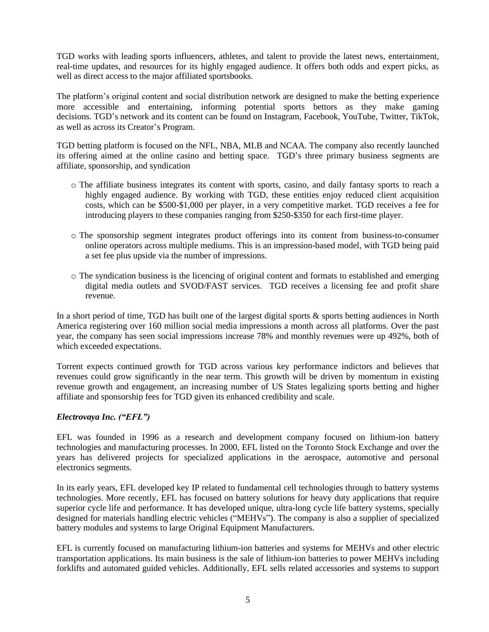TGD works with leading sports influencers, athletes, and talent to provide the latest news, entertainment, real-time updates, and resources for its highly engaged audience. It offers both odds and expert picks, as well as direct access to the major affiliated sportsbooks.

The platform's original content and social distribution network are designed to make the betting experience more accessible and entertaining, informing potential sports bettors as they make gaming decisions. TGD's network and its content can be found on [Instagram,](https://cts.businesswire.com/ct/CT?id=smartlink&url=https%3A%2F%2Fwww.instagram.com%2Fthegamedaynfl%2F%3Fhl%3Den&esheet=52543186&newsitemid=20211201005726&lan=en-US&anchor=Instagram&index=4&md5=0b404dde188a41c67ddff7c2b8657ced) [Facebook,](https://cts.businesswire.com/ct/CT?id=smartlink&url=https%3A%2F%2Fwww.facebook.com%2FTheGameDayNFL%2F&esheet=52543186&newsitemid=20211201005726&lan=en-US&anchor=Facebook&index=5&md5=ff1957c752f4b96d42214dc04f90025f) [YouTube,](https://cts.businesswire.com/ct/CT?id=smartlink&url=https%3A%2F%2Fwww.youtube.com%2Fc%2Fthegameday&esheet=52543186&newsitemid=20211201005726&lan=en-US&anchor=YouTube&index=6&md5=7b8bfc61619b92ea72e3a9a5a652b604) [Twitter,](https://cts.businesswire.com/ct/CT?id=smartlink&url=https%3A%2F%2Ftwitter.com%2Fthegamedaynfl%3Flang%3Den&esheet=52543186&newsitemid=20211201005726&lan=en-US&anchor=Twitter&index=7&md5=1d8651b6cf3535bf887780e9b7d5dcd8) [TikTok,](https://cts.businesswire.com/ct/CT?id=smartlink&url=https%3A%2F%2Fwww.tiktok.com%2F%40thegameday%3F&esheet=52543186&newsitemid=20211201005726&lan=en-US&anchor=TikTok&index=8&md5=f8f7e004e51502310e5609c74d4cebb8) as well as across its [Creator's Program.](https://cts.businesswire.com/ct/CT?id=smartlink&url=https%3A%2F%2Fthegameday.com%2Fabout%2Fcreator-network%2F&esheet=52543186&newsitemid=20211201005726&lan=en-US&anchor=Creators+Program&index=9&md5=87407fb19d276750ce8b58df856c24eb)

TGD betting platform is focused on the NFL, NBA, MLB and NCAA. The company also recently launched its offering aimed at the online casino and betting space. TGD's three primary business segments are affiliate, sponsorship, and syndication

- o The affiliate business integrates its content with sports, casino, and daily fantasy sports to reach a highly engaged audience. By working with TGD, these entities enjoy reduced client acquisition costs, which can be \$500-\$1,000 per player, in a very competitive market. TGD receives a fee for introducing players to these companies ranging from \$250-\$350 for each first-time player.
- o The sponsorship segment integrates product offerings into its content from business-to-consumer online operators across multiple mediums. This is an impression-based model, with TGD being paid a set fee plus upside via the number of impressions.
- $\circ$  The syndication business is the licencing of original content and formats to established and emerging digital media outlets and SVOD/FAST services. TGD receives a licensing fee and profit share revenue.

In a short period of time, TGD has built one of the largest digital sports & sports betting audiences in North America registering over 160 million social media impressions a month across all platforms. Over the past year, the company has seen social impressions increase 78% and monthly revenues were up 492%, both of which exceeded expectations.

Torrent expects continued growth for TGD across various key performance indictors and believes that revenues could grow significantly in the near term. This growth will be driven by momentum in existing revenue growth and engagement, an increasing number of US States legalizing sports betting and higher affiliate and sponsorship fees for TGD given its enhanced credibility and scale.

# *Electrovaya Inc. ("EFL")*

EFL was founded in 1996 as a research and development company focused on lithium-ion battery technologies and manufacturing processes. In 2000, EFL listed on the Toronto Stock Exchange and over the years has delivered projects for specialized applications in the aerospace, automotive and personal electronics segments.

In its early years, EFL developed key IP related to fundamental cell technologies through to battery systems technologies. More recently, EFL has focused on battery solutions for heavy duty applications that require superior cycle life and performance. It has developed unique, ultra-long cycle life battery systems, specially designed for materials handling electric vehicles ("MEHVs"). The company is also a supplier of specialized battery modules and systems to large Original Equipment Manufacturers.

EFL is currently focused on manufacturing lithium-ion batteries and systems for MEHVs and other electric transportation applications. Its main business is the sale of lithium-ion batteries to power MEHVs including forklifts and automated guided vehicles. Additionally, EFL sells related accessories and systems to support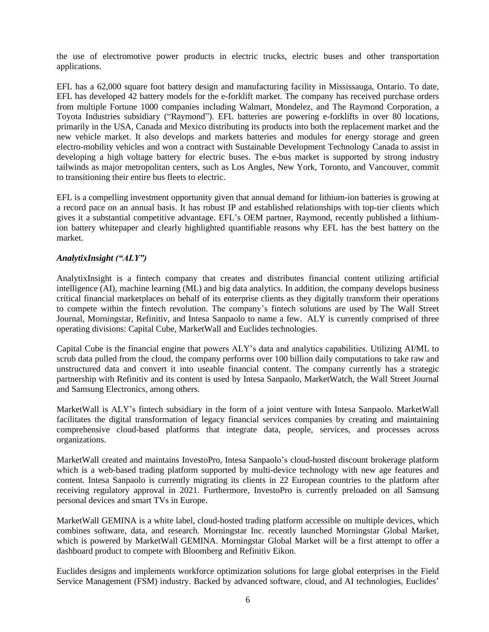the use of electromotive power products in electric trucks, electric buses and other transportation applications.

EFL has a 62,000 square foot battery design and manufacturing facility in Mississauga, Ontario. To date, EFL has developed 42 battery models for the e-forklift market. The company has received purchase orders from multiple Fortune 1000 companies including Walmart, Mondelez, and The Raymond Corporation, a Toyota Industries subsidiary ("Raymond"). EFL batteries are powering e-forklifts in over 80 locations, primarily in the USA, Canada and Mexico distributing its products into both the replacement market and the new vehicle market. It also develops and markets batteries and modules for energy storage and green electro-mobility vehicles and won a contract with Sustainable Development Technology Canada to assist in developing a high voltage battery for electric buses. The e-bus market is supported by strong industry tailwinds as major metropolitan centers, such as Los Angles, New York, Toronto, and Vancouver, commit to transitioning their entire bus fleets to electric.

EFL is a compelling investment opportunity given that annual demand for lithium-ion batteries is growing at a record pace on an annual basis. It has robust IP and established relationships with top-tier clients which gives it a substantial competitive advantage. EFL's OEM partner, Raymond, recently published a lithiumion battery whitepaper and clearly highlighted quantifiable reasons why EFL has the best battery on the market.

## *AnalytixInsight ("ALY")*

AnalytixInsight is a fintech company that creates and distributes financial content utilizing artificial intelligence (AI), machine learning (ML) and big data analytics. In addition, the company develops business critical financial marketplaces on behalf of its enterprise clients as they digitally transform their operations to compete within the fintech revolution. The company's fintech solutions are used by The Wall Street Journal, Morningstar, Refinitiv, and Intesa Sanpaolo to name a few. ALY is currently comprised of three operating divisions: Capital Cube, MarketWall and Euclides technologies.

Capital Cube is the financial engine that powers ALY's data and analytics capabilities. Utilizing AI/ML to scrub data pulled from the cloud, the company performs over 100 billion daily computations to take raw and unstructured data and convert it into useable financial content. The company currently has a strategic partnership with Refinitiv and its content is used by Intesa Sanpaolo, MarketWatch, the Wall Street Journal and Samsung Electronics, among others.

MarketWall is ALY's fintech subsidiary in the form of a joint venture with [Intesa Sanpaolo.](https://group.intesasanpaolo.com/en/about-us) [MarketWall](https://fintech.marketwall.com/index-en.html) facilitates the digital transformation of legacy financial services companies by creating and maintaining comprehensive cloud-based platforms that integrate data, people, services, and processes across organizations.

MarketWall created and maintains InvestoPro, Intesa Sanpaolo's cloud-hosted discount brokerage platform which is a web-based trading platform supported by multi-device technology with new age features and content. Intesa Sanpaolo is currently migrating its clients in 22 European countries to the platform after receiving regulatory approval in 2021. Furthermore, InvestoPro is currently preloaded on all Samsung personal devices and smart TVs in Europe.

MarketWall GEMINA is a white label, cloud-hosted trading platform accessible on multiple devices, which combines software, data, and research. Morningstar Inc. recently launched Morningstar Global Market, which is powered by MarketWall GEMINA. Morningstar Global Market will be a first attempt to offer a dashboard product to compete with Bloomberg and Refinitiv Eikon.

Euclides designs and implements workforce optimization solutions for large global enterprises in the Field Service Management (FSM) industry. Backed by advanced software, cloud, and AI technologies, Euclides'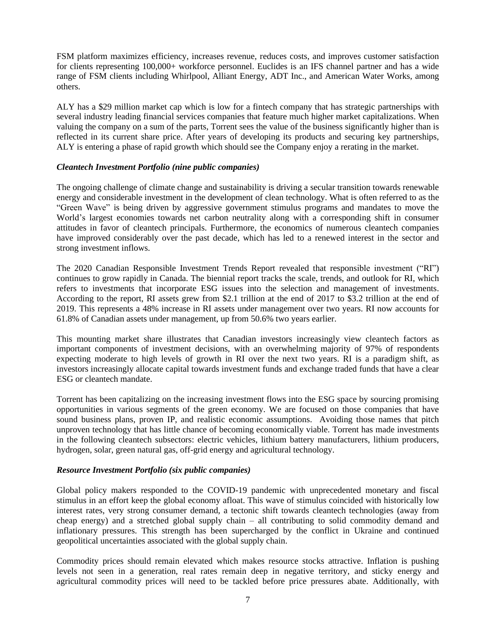FSM platform maximizes efficiency, increases revenue, reduces costs, and improves customer satisfaction for clients representing 100,000+ workforce personnel. Euclides is an IFS channel partner and has a wide range of FSM clients including Whirlpool, Alliant Energy, ADT Inc., and American Water Works, among others.

ALY has a \$29 million market cap which is low for a fintech company that has strategic partnerships with several industry leading financial services companies that feature much higher market capitalizations. When valuing the company on a sum of the parts, Torrent sees the value of the business significantly higher than is reflected in its current share price. After years of developing its products and securing key partnerships, ALY is entering a phase of rapid growth which should see the Company enjoy a rerating in the market.

## *Cleantech Investment Portfolio (nine public companies)*

The ongoing challenge of climate change and sustainability is driving a secular transition towards renewable energy and considerable investment in the development of clean technology. What is often referred to as the "Green Wave" is being driven by aggressive government stimulus programs and mandates to move the World's largest economies towards net carbon neutrality along with a corresponding shift in consumer attitudes in favor of cleantech principals. Furthermore, the economics of numerous cleantech companies have improved considerably over the past decade, which has led to a renewed interest in the sector and strong investment inflows.

The 2020 Canadian Responsible Investment Trends Report revealed that responsible investment ("RI") continues to grow rapidly in Canada. The biennial report tracks the scale, trends, and outlook for RI, which refers to investments that incorporate ESG issues into the selection and management of investments. According to the report, RI assets grew from \$2.1 trillion at the end of 2017 to \$3.2 trillion at the end of 2019. This represents a 48% increase in RI assets under management over two years. RI now accounts for 61.8% of Canadian assets under management, up from 50.6% two years earlier.

This mounting market share illustrates that Canadian investors increasingly view cleantech factors as important components of investment decisions, with an overwhelming majority of 97% of respondents expecting moderate to high levels of growth in RI over the next two years. RI is a paradigm shift, as investors increasingly allocate capital towards investment funds and exchange traded funds that have a clear ESG or cleantech mandate.

Torrent has been capitalizing on the increasing investment flows into the ESG space by sourcing promising opportunities in various segments of the green economy. We are focused on those companies that have sound business plans, proven IP, and realistic economic assumptions. Avoiding those names that pitch unproven technology that has little chance of becoming economically viable. Torrent has made investments in the following cleantech subsectors: electric vehicles, lithium battery manufacturers, lithium producers, hydrogen, solar, green natural gas, off-grid energy and agricultural technology.

## *Resource Investment Portfolio (six public companies)*

Global policy makers responded to the COVID-19 pandemic with unprecedented monetary and fiscal stimulus in an effort keep the global economy afloat. This wave of stimulus coincided with historically low interest rates, very strong consumer demand, a tectonic shift towards cleantech technologies (away from cheap energy) and a stretched global supply chain – all contributing to solid commodity demand and inflationary pressures. This strength has been supercharged by the conflict in Ukraine and continued geopolitical uncertainties associated with the global supply chain.

Commodity prices should remain elevated which makes resource stocks attractive. Inflation is pushing levels not seen in a generation, real rates remain deep in negative territory, and sticky energy and agricultural commodity prices will need to be tackled before price pressures abate. Additionally, with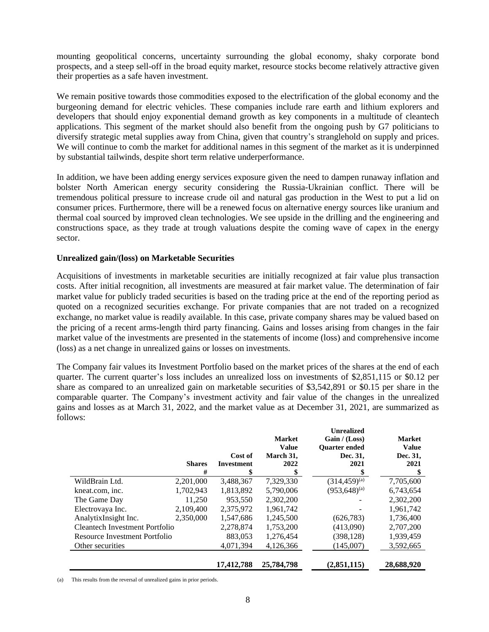mounting geopolitical concerns, uncertainty surrounding the global economy, shaky corporate bond prospects, and a steep sell-off in the broad equity market, resource stocks become relatively attractive given their properties as a safe haven investment.

We remain positive towards those commodities exposed to the electrification of the global economy and the burgeoning demand for electric vehicles. These companies include rare earth and lithium explorers and developers that should enjoy exponential demand growth as key components in a multitude of cleantech applications. This segment of the market should also benefit from the ongoing push by G7 politicians to diversify strategic metal supplies away from China, given that country's stranglehold on supply and prices. We will continue to comb the market for additional names in this segment of the market as it is underpinned by substantial tailwinds, despite short term relative underperformance.

In addition, we have been adding energy services exposure given the need to dampen runaway inflation and bolster North American energy security considering the Russia-Ukrainian conflict. There will be tremendous political pressure to increase crude oil and natural gas production in the West to put a lid on consumer prices. Furthermore, there will be a renewed focus on alternative energy sources like uranium and thermal coal sourced by improved clean technologies. We see upside in the drilling and the engineering and constructions space, as they trade at trough valuations despite the coming wave of capex in the energy sector.

### **Unrealized gain/(loss) on Marketable Securities**

Acquisitions of investments in marketable securities are initially recognized at fair value plus transaction costs. After initial recognition, all investments are measured at fair market value. The determination of fair market value for publicly traded securities is based on the trading price at the end of the reporting period as quoted on a recognized securities exchange. For private companies that are not traded on a recognized exchange, no market value is readily available. In this case, private company shares may be valued based on the pricing of a recent arms-length third party financing. Gains and losses arising from changes in the fair market value of the investments are presented in the statements of income (loss) and comprehensive income (loss) as a net change in unrealized gains or losses on investments.

The Company fair values its Investment Portfolio based on the market prices of the shares at the end of each quarter. The current quarter's loss includes an unrealized loss on investments of \$2,851,115 or \$0.12 per share as compared to an unrealized gain on marketable securities of \$3,542,891 or \$0.15 per share in the comparable quarter. The Company's investment activity and fair value of the changes in the unrealized gains and losses as at March 31, 2022, and the market value as at December 31, 2021, are summarized as follows:

|                                | <b>Shares</b><br># | Cost of<br><b>Investment</b> | <b>Market</b><br><b>Value</b><br>March 31,<br>2022 | <b>Unrealized</b><br>Gain / (Loss)<br><b>Ouarter</b> ended<br>Dec. 31,<br>2021 | <b>Market</b><br><b>Value</b><br>Dec. 31,<br>2021<br>\$ |
|--------------------------------|--------------------|------------------------------|----------------------------------------------------|--------------------------------------------------------------------------------|---------------------------------------------------------|
| WildBrain Ltd.                 | 2,201,000          | 3,488,367                    | 7,329,330                                          | $(314, 459)^{(a)}$                                                             | 7,705,600                                               |
| kneat.com, inc.                | 1,702,943          | 1,813,892                    | 5,790,006                                          | $(953, 648)^{(a)}$                                                             | 6,743,654                                               |
| The Game Day                   | 11,250             | 953,550                      | 2,302,200                                          |                                                                                | 2,302,200                                               |
| Electrovaya Inc.               | 2,109,400          | 2,375,972                    | 1,961,742                                          |                                                                                | 1,961,742                                               |
| AnalytixInsight Inc.           | 2,350,000          | 1,547,686                    | 1.245.500                                          | (626, 783)                                                                     | 1,736,400                                               |
| Cleantech Investment Portfolio |                    | 2,278,874                    | 1,753,200                                          | (413,090)                                                                      | 2,707,200                                               |
| Resource Investment Portfolio  |                    | 883,053                      | 1,276,454                                          | (398,128)                                                                      | 1,939,459                                               |
| Other securities               |                    | 4,071,394                    | 4,126,366                                          | (145,007)                                                                      | 3,592,665                                               |
|                                |                    | 17,412,788                   | 25,784,798                                         | (2,851,115)                                                                    | 28,688,920                                              |

(a) This results from the reversal of unrealized gains in prior periods.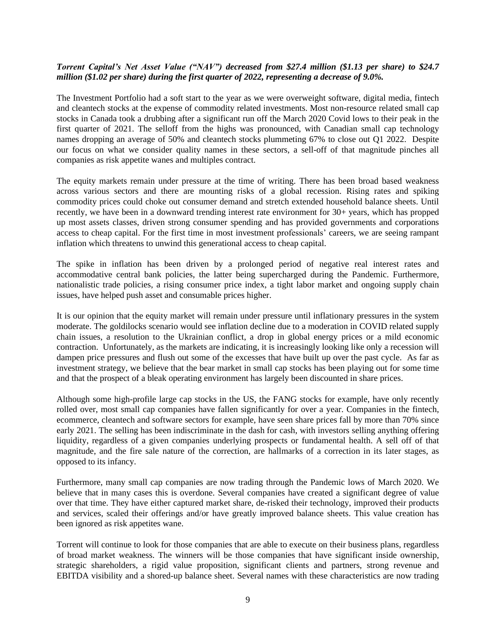# *Torrent Capital's Net Asset Value ("NAV") decreased from \$27.4 million (\$1.13 per share) to \$24.7 million (\$1.02 per share) during the first quarter of 2022, representing a decrease of 9.0%.*

The Investment Portfolio had a soft start to the year as we were overweight software, digital media, fintech and cleantech stocks at the expense of commodity related investments. Most non-resource related small cap stocks in Canada took a drubbing after a significant run off the March 2020 Covid lows to their peak in the first quarter of 2021. The selloff from the highs was pronounced, with Canadian small cap technology names dropping an average of 50% and cleantech stocks plummeting 67% to close out Q1 2022. Despite our focus on what we consider quality names in these sectors, a sell-off of that magnitude pinches all companies as risk appetite wanes and multiples contract.

The equity markets remain under pressure at the time of writing. There has been broad based weakness across various sectors and there are mounting risks of a global recession. Rising rates and spiking commodity prices could choke out consumer demand and stretch extended household balance sheets. Until recently, we have been in a downward trending interest rate environment for 30+ years, which has propped up most assets classes, driven strong consumer spending and has provided governments and corporations access to cheap capital. For the first time in most investment professionals' careers, we are seeing rampant inflation which threatens to unwind this generational access to cheap capital.

The spike in inflation has been driven by a prolonged period of negative real interest rates and accommodative central bank policies, the latter being supercharged during the Pandemic. Furthermore, nationalistic trade policies, a rising consumer price index, a tight labor market and ongoing supply chain issues, have helped push asset and consumable prices higher.

It is our opinion that the equity market will remain under pressure until inflationary pressures in the system moderate. The goldilocks scenario would see inflation decline due to a moderation in COVID related supply chain issues, a resolution to the Ukrainian conflict, a drop in global energy prices or a mild economic contraction. Unfortunately, as the markets are indicating, it is increasingly looking like only a recession will dampen price pressures and flush out some of the excesses that have built up over the past cycle. As far as investment strategy, we believe that the bear market in small cap stocks has been playing out for some time and that the prospect of a bleak operating environment has largely been discounted in share prices.

Although some high-profile large cap stocks in the US, the FANG stocks for example, have only recently rolled over, most small cap companies have fallen significantly for over a year. Companies in the fintech, ecommerce, cleantech and software sectors for example, have seen share prices fall by more than 70% since early 2021. The selling has been indiscriminate in the dash for cash, with investors selling anything offering liquidity, regardless of a given companies underlying prospects or fundamental health. A sell off of that magnitude, and the fire sale nature of the correction, are hallmarks of a correction in its later stages, as opposed to its infancy.

Furthermore, many small cap companies are now trading through the Pandemic lows of March 2020. We believe that in many cases this is overdone. Several companies have created a significant degree of value over that time. They have either captured market share, de-risked their technology, improved their products and services, scaled their offerings and/or have greatly improved balance sheets. This value creation has been ignored as risk appetites wane.

Torrent will continue to look for those companies that are able to execute on their business plans, regardless of broad market weakness. The winners will be those companies that have significant inside ownership, strategic shareholders, a rigid value proposition, significant clients and partners, strong revenue and EBITDA visibility and a shored-up balance sheet. Several names with these characteristics are now trading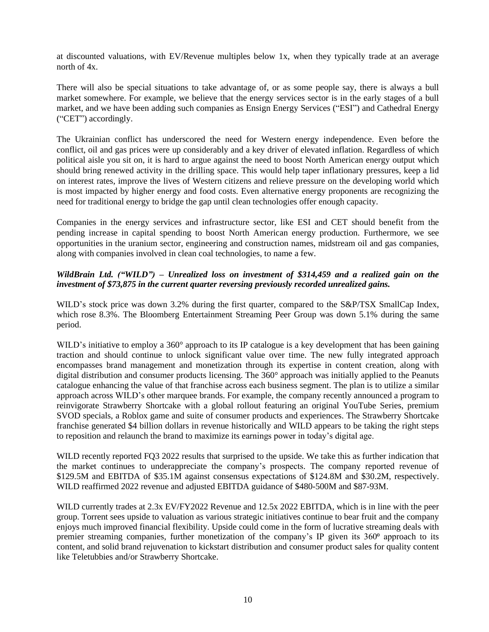at discounted valuations, with EV/Revenue multiples below 1x, when they typically trade at an average north of 4x.

There will also be special situations to take advantage of, or as some people say, there is always a bull market somewhere. For example, we believe that the energy services sector is in the early stages of a bull market, and we have been adding such companies as Ensign Energy Services ("ESI") and Cathedral Energy ("CET") accordingly.

The Ukrainian conflict has underscored the need for Western energy independence. Even before the conflict, oil and gas prices were up considerably and a key driver of elevated inflation. Regardless of which political aisle you sit on, it is hard to argue against the need to boost North American energy output which should bring renewed activity in the drilling space. This would help taper inflationary pressures, keep a lid on interest rates, improve the lives of Western citizens and relieve pressure on the developing world which is most impacted by higher energy and food costs. Even alternative energy proponents are recognizing the need for traditional energy to bridge the gap until clean technologies offer enough capacity.

Companies in the energy services and infrastructure sector, like ESI and CET should benefit from the pending increase in capital spending to boost North American energy production. Furthermore, we see opportunities in the uranium sector, engineering and construction names, midstream oil and gas companies, along with companies involved in clean coal technologies, to name a few.

# *WildBrain Ltd. ("WILD") – Unrealized loss on investment of \$314,459 and a realized gain on the investment of \$73,875 in the current quarter reversing previously recorded unrealized gains.*

WILD's stock price was down 3.2% during the first quarter, compared to the S&P/TSX SmallCap Index, which rose 8.3%. The Bloomberg Entertainment Streaming Peer Group was down 5.1% during the same period.

WILD's initiative to employ a 360° approach to its IP catalogue is a key development that has been gaining traction and should continue to unlock significant value over time. The new fully integrated approach encompasses brand management and monetization through its expertise in content creation, along with digital distribution and consumer products licensing. The 360° approach was initially applied to the Peanuts catalogue enhancing the value of that franchise across each business segment. The plan is to utilize a similar approach across WILD's other marquee brands. For example, the company recently announced a program to reinvigorate Strawberry Shortcake with a global rollout featuring an original YouTube Series, premium SVOD specials, a Roblox game and suite of consumer products and experiences. The Strawberry Shortcake franchise generated \$4 billion dollars in revenue historically and WILD appears to be taking the right steps to reposition and relaunch the brand to maximize its earnings power in today's digital age.

WILD recently reported FQ3 2022 results that surprised to the upside. We take this as further indication that the market continues to underappreciate the company's prospects. The company reported revenue of \$129.5M and EBITDA of \$35.1M against consensus expectations of \$124.8M and \$30.2M, respectively. WILD reaffirmed 2022 revenue and adjusted EBITDA guidance of \$480-500M and \$87-93M.

WILD currently trades at 2.3x EV/FY2022 Revenue and 12.5x 2022 EBITDA, which is in line with the peer group. Torrent sees upside to valuation as various strategic initiatives continue to bear fruit and the company enjoys much improved financial flexibility. Upside could come in the form of lucrative streaming deals with premier streaming companies, further monetization of the company's IP given its 360<sup>°</sup> approach to its content, and solid brand rejuvenation to kickstart distribution and consumer product sales for quality content like Teletubbies and/or Strawberry Shortcake.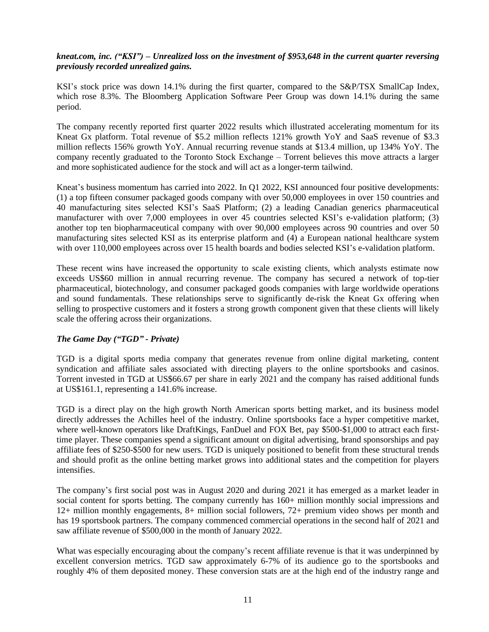## *kneat.com, inc. ("KSI") – Unrealized loss on the investment of \$953,648 in the current quarter reversing previously recorded unrealized gains.*

KSI's stock price was down 14.1% during the first quarter, compared to the S&P/TSX SmallCap Index, which rose 8.3%. The Bloomberg Application Software Peer Group was down 14.1% during the same period.

The company recently reported first quarter 2022 results which illustrated accelerating momentum for its Kneat Gx platform. Total revenue of \$5.2 million reflects 121% growth YoY and SaaS revenue of \$3.3 million reflects 156% growth YoY. Annual recurring revenue stands at \$13.4 million, up 134% YoY. The company recently graduated to the Toronto Stock Exchange – Torrent believes this move attracts a larger and more sophisticated audience for the stock and will act as a longer-term tailwind.

Kneat's business momentum has carried into 2022. In Q1 2022, KSI announced four positive developments: (1) a top fifteen consumer packaged goods company with over 50,000 employees in over 150 countries and 40 manufacturing sites selected KSI's SaaS Platform; (2) a leading Canadian generics pharmaceutical manufacturer with over 7,000 employees in over 45 countries selected KSI's e-validation platform; (3) another top ten biopharmaceutical company with over 90,000 employees across 90 countries and over 50 manufacturing sites selected KSI as its enterprise platform and (4) a European national healthcare system with over 110,000 employees across over 15 health boards and bodies selected KSI's e-validation platform.

These recent wins have increased the opportunity to scale existing clients, which analysts estimate now exceeds US\$60 million in annual recurring revenue. The company has secured a network of top-tier pharmaceutical, biotechnology, and consumer packaged goods companies with large worldwide operations and sound fundamentals. These relationships serve to significantly de-risk the Kneat Gx offering when selling to prospective customers and it fosters a strong growth component given that these clients will likely scale the offering across their organizations.

## *The Game Day ("TGD" - Private)*

TGD is a digital sports media company that generates revenue from online digital marketing, content syndication and affiliate sales associated with directing players to the online sportsbooks and casinos. Torrent invested in TGD at US\$66.67 per share in early 2021 and the company has raised additional funds at US\$161.1, representing a 141.6% increase.

TGD is a direct play on the high growth North American sports betting market, and its business model directly addresses the Achilles heel of the industry. Online sportsbooks face a hyper competitive market, where well-known operators like DraftKings, FanDuel and FOX Bet, pay \$500-\$1,000 to attract each firsttime player. These companies spend a significant amount on digital advertising, brand sponsorships and pay affiliate fees of \$250-\$500 for new users. TGD is uniquely positioned to benefit from these structural trends and should profit as the online betting market grows into additional states and the competition for players intensifies.

The company's first social post was in August 2020 and during 2021 it has emerged as a market leader in social content for sports betting. The company currently has  $160+$  million monthly social impressions and 12+ million monthly engagements, 8+ million social followers, 72+ premium video shows per month and has 19 sportsbook partners. The company commenced commercial operations in the second half of 2021 and saw affiliate revenue of \$500,000 in the month of January 2022.

What was especially encouraging about the company's recent affiliate revenue is that it was underpinned by excellent conversion metrics. TGD saw approximately 6-7% of its audience go to the sportsbooks and roughly 4% of them deposited money. These conversion stats are at the high end of the industry range and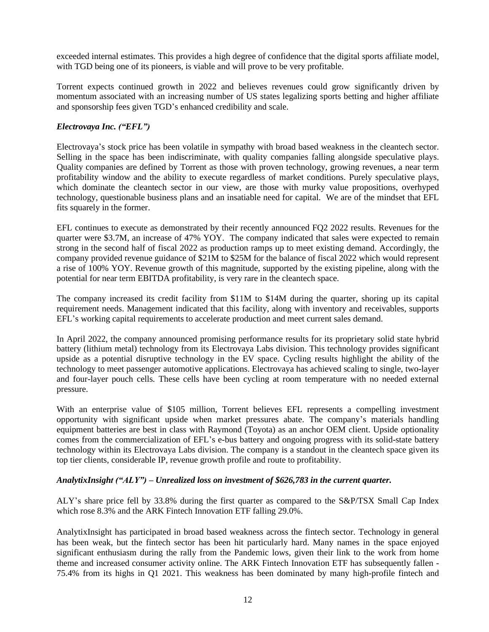exceeded internal estimates. This provides a high degree of confidence that the digital sports affiliate model, with TGD being one of its pioneers, is viable and will prove to be very profitable.

Torrent expects continued growth in 2022 and believes revenues could grow significantly driven by momentum associated with an increasing number of US states legalizing sports betting and higher affiliate and sponsorship fees given TGD's enhanced credibility and scale.

# *Electrovaya Inc. ("EFL")*

Electrovaya's stock price has been volatile in sympathy with broad based weakness in the cleantech sector. Selling in the space has been indiscriminate, with quality companies falling alongside speculative plays. Quality companies are defined by Torrent as those with proven technology, growing revenues, a near term profitability window and the ability to execute regardless of market conditions. Purely speculative plays, which dominate the cleantech sector in our view, are those with murky value propositions, overhyped technology, questionable business plans and an insatiable need for capital. We are of the mindset that EFL fits squarely in the former.

EFL continues to execute as demonstrated by their recently announced FQ2 2022 results. Revenues for the quarter were \$3.7M, an increase of 47% YOY. The company indicated that sales were expected to remain strong in the second half of fiscal 2022 as production ramps up to meet existing demand. Accordingly, the company provided revenue guidance of \$21M to \$25M for the balance of fiscal 2022 which would represent a rise of 100% YOY. Revenue growth of this magnitude, supported by the existing pipeline, along with the potential for near term EBITDA profitability, is very rare in the cleantech space.

The company increased its credit facility from \$11M to \$14M during the quarter, shoring up its capital requirement needs. Management indicated that this facility, along with inventory and receivables, supports EFL's working capital requirements to accelerate production and meet current sales demand.

In April 2022, the company announced promising performance results for its proprietary solid state hybrid battery (lithium metal) technology from its Electrovaya Labs division. This technology provides significant upside as a potential disruptive technology in the EV space. Cycling results highlight the ability of the technology to meet passenger automotive applications. Electrovaya has achieved scaling to single, two-layer and four-layer pouch cells. These cells have been cycling at room temperature with no needed external pressure.

With an enterprise value of \$105 million, Torrent believes EFL represents a compelling investment opportunity with significant upside when market pressures abate. The company's materials handling equipment batteries are best in class with Raymond (Toyota) as an anchor OEM client. Upside optionality comes from the commercialization of EFL's e-bus battery and ongoing progress with its solid-state battery technology within its Electrovaya Labs division. The company is a standout in the cleantech space given its top tier clients, considerable IP, revenue growth profile and route to profitability.

## *AnalytixInsight ("ALY") – Unrealized loss on investment of \$626,783 in the current quarter.*

ALY's share price fell by 33.8% during the first quarter as compared to the S&P/TSX Small Cap Index which rose 8.3% and the ARK Fintech Innovation ETF falling 29.0%.

AnalytixInsight has participated in broad based weakness across the fintech sector. Technology in general has been weak, but the fintech sector has been hit particularly hard. Many names in the space enjoyed significant enthusiasm during the rally from the Pandemic lows, given their link to the work from home theme and increased consumer activity online. The ARK Fintech Innovation ETF has subsequently fallen - 75.4% from its highs in Q1 2021. This weakness has been dominated by many high-profile fintech and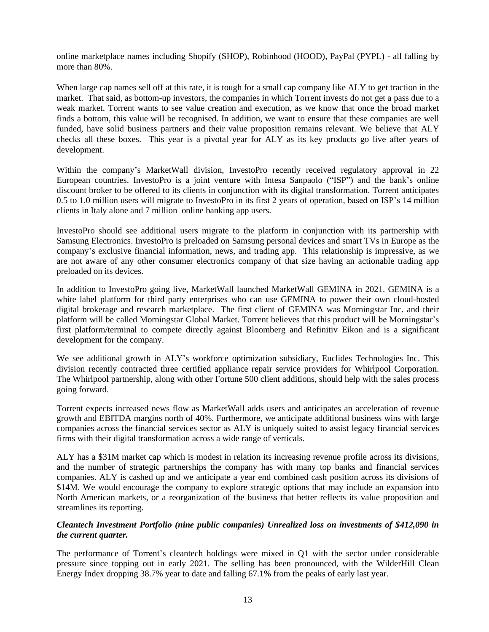online marketplace names including Shopify (SHOP), Robinhood (HOOD), PayPal (PYPL) - all falling by more than 80%.

When large cap names sell off at this rate, it is tough for a small cap company like ALY to get traction in the market. That said, as bottom-up investors, the companies in which Torrent invests do not get a pass due to a weak market. Torrent wants to see value creation and execution, as we know that once the broad market finds a bottom, this value will be recognised. In addition, we want to ensure that these companies are well funded, have solid business partners and their value proposition remains relevant. We believe that ALY checks all these boxes. This year is a pivotal year for ALY as its key products go live after years of development.

Within the company's MarketWall division, InvestoPro recently received regulatory approval in 22 European countries. InvestoPro is a joint venture with Intesa Sanpaolo ("ISP") and the bank's online discount broker to be offered to its clients in conjunction with its digital transformation. Torrent anticipates 0.5 to 1.0 million users will migrate to InvestoPro in its first 2 years of operation, based on ISP's 14 million clients in Italy alone and 7 million online banking app users.

InvestoPro should see additional users migrate to the platform in conjunction with its partnership with Samsung Electronics. InvestoPro is preloaded on Samsung personal devices and smart TVs in Europe as the company's exclusive financial information, news, and trading app. This relationship is impressive, as we are not aware of any other consumer electronics company of that size having an actionable trading app preloaded on its devices.

In addition to InvestoPro going live, MarketWall launched MarketWall GEMINA in 2021. GEMINA is a white label platform for third party enterprises who can use GEMINA to power their own cloud-hosted digital brokerage and research marketplace. The first client of GEMINA was Morningstar Inc. and their platform will be called Morningstar Global Market. Torrent believes that this product will be Morningstar's first platform/terminal to compete directly against Bloomberg and Refinitiv Eikon and is a significant development for the company.

We see additional growth in ALY's workforce optimization subsidiary, Euclides Technologies Inc. This division recently contracted three certified appliance repair service providers for Whirlpool Corporation. The Whirlpool partnership, along with other Fortune 500 client additions, should help with the sales process going forward.

Torrent expects increased news flow as MarketWall adds users and anticipates an acceleration of revenue growth and EBITDA margins north of 40%. Furthermore, we anticipate additional business wins with large companies across the financial services sector as ALY is uniquely suited to assist legacy financial services firms with their digital transformation across a wide range of verticals.

ALY has a \$31M market cap which is modest in relation its increasing revenue profile across its divisions, and the number of strategic partnerships the company has with many top banks and financial services companies. ALY is cashed up and we anticipate a year end combined cash position across its divisions of \$14M. We would encourage the company to explore strategic options that may include an expansion into North American markets, or a reorganization of the business that better reflects its value proposition and streamlines its reporting.

## *Cleantech Investment Portfolio (nine public companies) Unrealized loss on investments of \$412,090 in the current quarter.*

The performance of Torrent's cleantech holdings were mixed in Q1 with the sector under considerable pressure since topping out in early 2021. The selling has been pronounced, with the WilderHill Clean Energy Index dropping 38.7% year to date and falling 67.1% from the peaks of early last year.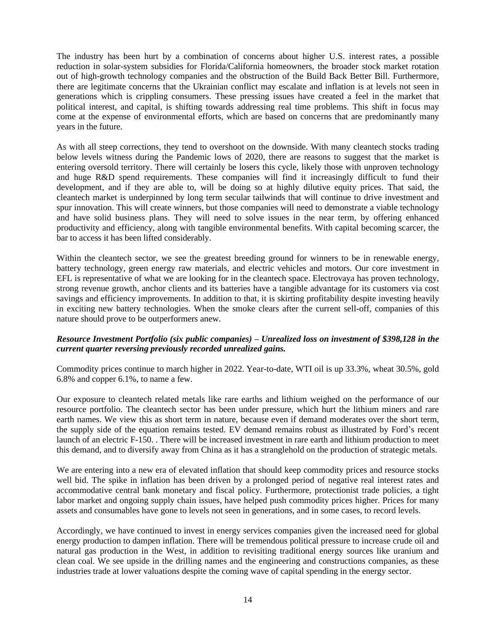The industry has been hurt by a combination of concerns about higher U.S. interest rates, a possible reduction in solar-system subsidies for Florida/California homeowners, the broader stock market rotation out of high-growth technology companies and the obstruction of the Build Back Better Bill. Furthermore, there are legitimate concerns that the Ukrainian conflict may escalate and inflation is at levels not seen in generations which is crippling consumers. These pressing issues have created a feel in the market that political interest, and capital, is shifting towards addressing real time problems. This shift in focus may come at the expense of environmental efforts, which are based on concerns that are predominantly many years in the future.

As with all steep corrections, they tend to overshoot on the downside. With many cleantech stocks trading below levels witness during the Pandemic lows of 2020, there are reasons to suggest that the market is entering oversold territory. There will certainly be losers this cycle, likely those with unproven technology and huge R&D spend requirements. These companies will find it increasingly difficult to fund their development, and if they are able to, will be doing so at highly dilutive equity prices. That said, the cleantech market is underpinned by long term secular tailwinds that will continue to drive investment and spur innovation. This will create winners, but those companies will need to demonstrate a viable technology and have solid business plans. They will need to solve issues in the near term, by offering enhanced productivity and efficiency, along with tangible environmental benefits. With capital becoming scarcer, the bar to access it has been lifted considerably.

Within the cleantech sector, we see the greatest breeding ground for winners to be in renewable energy, battery technology, green energy raw materials, and electric vehicles and motors. Our core investment in EFL is representative of what we are looking for in the cleantech space. Electrovaya has proven technology, strong revenue growth, anchor clients and its batteries have a tangible advantage for its customers via cost savings and efficiency improvements. In addition to that, it is skirting profitability despite investing heavily in exciting new battery technologies. When the smoke clears after the current sell-off, companies of this nature should prove to be outperformers anew.

## *Resource Investment Portfolio (six public companies) – Unrealized loss on investment of \$398,128 in the current quarter reversing previously recorded unrealized gains.*

Commodity prices continue to march higher in 2022. Year-to-date, WTI oil is up 33.3%, wheat 30.5%, gold 6.8% and copper 6.1%, to name a few.

Our exposure to cleantech related metals like rare earths and lithium weighed on the performance of our resource portfolio. The cleantech sector has been under pressure, which hurt the lithium miners and rare earth names. We view this as short term in nature, because even if demand moderates over the short term, the supply side of the equation remains tested. EV demand remains robust as illustrated by Ford's recent launch of an electric F-150. . There will be increased investment in rare earth and lithium production to meet this demand, and to diversify away from China as it has a stranglehold on the production of strategic metals.

We are entering into a new era of elevated inflation that should keep commodity prices and resource stocks well bid. The spike in inflation has been driven by a prolonged period of negative real interest rates and accommodative central bank monetary and fiscal policy. Furthermore, protectionist trade policies, a tight labor market and ongoing supply chain issues, have helped push commodity prices higher. Prices for many assets and consumables have gone to levels not seen in generations, and in some cases, to record levels.

Accordingly, we have continued to invest in energy services companies given the increased need for global energy production to dampen inflation. There will be tremendous political pressure to increase crude oil and natural gas production in the West, in addition to revisiting traditional energy sources like uranium and clean coal. We see upside in the drilling names and the engineering and constructions companies, as these industries trade at lower valuations despite the coming wave of capital spending in the energy sector.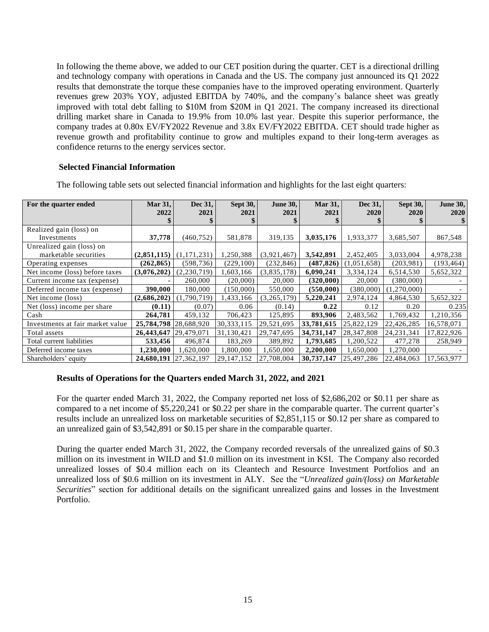In following the theme above, we added to our CET position during the quarter. CET is a directional drilling and technology company with operations in Canada and the US. The company just announced its Q1 2022 results that demonstrate the torque these companies have to the improved operating environment. Quarterly revenues grew 203% YOY, adjusted EBITDA by 740%, and the company's balance sheet was greatly improved with total debt falling to \$10M from \$20M in Q1 2021. The company increased its directional drilling market share in Canada to 19.9% from 10.0% last year. Despite this superior performance, the company trades at 0.80x EV/FY2022 Revenue and 3.8x EV/FY2022 EBITDA. CET should trade higher as revenue growth and profitability continue to grow and multiples expand to their long-term averages as confidence returns to the energy services sector.

## **Selected Financial Information**

| For the quarter ended            | Mar 31,<br>2022       | Dec 31,<br>2021 | Sept 30,<br>2021 | <b>June 30,</b><br>2021 | <b>Mar 31,</b><br>2021 | Dec 31,<br><b>2020</b> | Sept 30,<br><b>2020</b> | <b>June 30,</b><br><b>2020</b> |
|----------------------------------|-----------------------|-----------------|------------------|-------------------------|------------------------|------------------------|-------------------------|--------------------------------|
|                                  |                       |                 |                  |                         |                        |                        |                         |                                |
| Realized gain (loss) on          |                       |                 |                  |                         |                        |                        |                         |                                |
| Investments                      | 37,778                | (460, 752)      | 581,878          | 319,135                 | 3,035,176              | 1,933,377              | 3,685,507               | 867,548                        |
| Unrealized gain (loss) on        |                       |                 |                  |                         |                        |                        |                         |                                |
| marketable securities            | (2,851,115)           | (1, 171, 231)   | 1,250,388        | (3,921,467)             | 3,542,891              | 2,452,405              | 3,033,004               | 4,978,238                      |
| Operating expenses               | (262, 865)            | (598, 736)      | (229,100)        | (232, 846)              | (487, 826)             | (1,051,658)            | (203,981)               | (193, 464)                     |
| Net income (loss) before taxes   | (3,076,202)           | (2, 230, 719)   | 1,603,166        | (3,835,178)             | 6,090,241              | 3,334,124              | 6,514,530               | 5,652,322                      |
| Current income tax (expense)     |                       | 260,000         | (20,000)         | 20,000                  | (320,000)              | 20,000                 | (380,000)               |                                |
| Deferred income tax (expense)    | 390,000               | 180,000         | (150,000)        | 550,000                 | (550,000)              | (380,000)              | (1,270,000)             |                                |
| Net income (loss)                | (2,686,202)           | .790.719)       | 1,433,166        | (3, 265, 179)           | 5,220,241              | 2,974,124              | 4,864,530               | 5,652,322                      |
| Net (loss) income per share      | (0.11)                | (0.07)          | 0.06             | (0.14)                  | 0.22                   | 0.12                   | 0.20                    | 0.235                          |
| Cash                             | 264,781               | 459,132         | 706,423          | 125,895                 | 893,906                | 2,483,562              | 1,769,432               | 1,210,356                      |
| Investments at fair market value | 25,784,798 28,688,920 |                 | 30, 333, 115     | 29,521,695              | 33,781,615             | 25,822,129             | 22,426,285              | 16,578,071                     |
| Total assets                     | 26,443,647 29,479,071 |                 | 31,130,421       | 29,747,695              | 34,731,147             | 28,347,808             | 24, 231, 341            | 17,822,926                     |
| Total current liabilities        | 533,456               | 496,874         | 183,269          | 389,892                 | 1,793,685              | 1,200,522              | 477,278                 | 258,949                        |
| Deferred income taxes            | 1,230,000             | 1,620,000       | 1,800,000        | 1,650,000               | 2,200,000              | 1,650,000              | 1,270,000               |                                |
| Shareholders' equity             | 24,680,191 27,362,197 |                 | 29,147,152       | 27,708,004              | 30,737,147             | 25,497,286             | 22,484,063              | 17,563,977                     |

## **Results of Operations for the Quarters ended March 31, 2022, and 2021**

For the quarter ended March 31, 2022, the Company reported net loss of \$2,686,202 or \$0.11 per share as compared to a net income of \$5,220,241 or \$0.22 per share in the comparable quarter. The current quarter's results include an unrealized loss on marketable securities of \$2,851,115 or \$0.12 per share as compared to an unrealized gain of \$3,542,891 or \$0.15 per share in the comparable quarter.

During the quarter ended March 31, 2022, the Company recorded reversals of the unrealized gains of \$0.3 million on its investment in WILD and \$1.0 million on its investment in KSI. The Company also recorded unrealized losses of \$0.4 million each on its Cleantech and Resource Investment Portfolios and an unrealized loss of \$0.6 million on its investment in ALY. See the "*Unrealized gain/(loss) on Marketable Securities*" section for additional details on the significant unrealized gains and losses in the Investment Portfolio.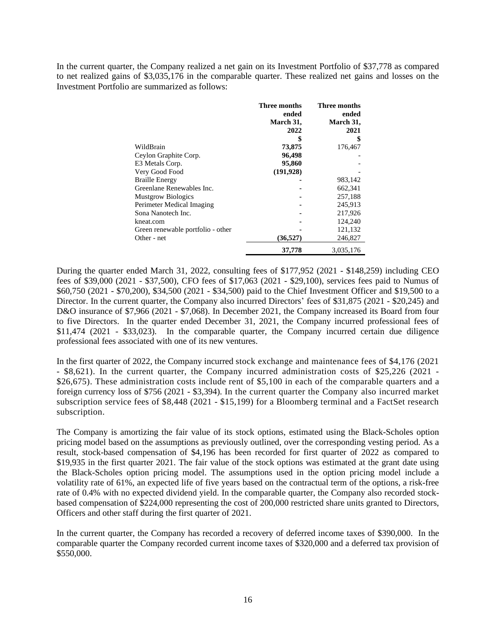In the current quarter, the Company realized a net gain on its Investment Portfolio of \$37,778 as compared to net realized gains of \$3,035,176 in the comparable quarter. These realized net gains and losses on the Investment Portfolio are summarized as follows:

|                                   | Three months | Three months |
|-----------------------------------|--------------|--------------|
|                                   | ended        | ended        |
|                                   | March 31,    | March 31,    |
|                                   | 2022         | 2021         |
|                                   | \$           |              |
| WildBrain                         | 73,875       | 176,467      |
| Ceylon Graphite Corp.             | 96,498       |              |
| E3 Metals Corp.                   | 95,860       |              |
| Very Good Food                    | (191, 928)   |              |
| <b>Braille Energy</b>             |              | 983,142      |
| Greenlane Renewables Inc.         |              | 662,341      |
| <b>Mustgrow Biologics</b>         |              | 257,188      |
| Perimeter Medical Imaging         |              | 245,913      |
| Sona Nanotech Inc.                |              | 217,926      |
| kneat.com                         |              | 124,240      |
| Green renewable portfolio - other |              | 121,132      |
| Other - net                       | (36,527)     | 246,827      |
|                                   | 37,778       | 3.035.176    |

During the quarter ended March 31, 2022, consulting fees of \$177,952 (2021 - \$148,259) including CEO fees of \$39,000 (2021 - \$37,500), CFO fees of \$17,063 (2021 - \$29,100), services fees paid to Numus of \$60,750 (2021 - \$70,200), \$34,500 (2021 - \$34,500) paid to the Chief Investment Officer and \$19,500 to a Director. In the current quarter, the Company also incurred Directors' fees of \$31,875 (2021 - \$20,245) and D&O insurance of \$7,966 (2021 - \$7,068). In December 2021, the Company increased its Board from four to five Directors. In the quarter ended December 31, 2021, the Company incurred professional fees of \$11,474 (2021 - \$33,023). In the comparable quarter, the Company incurred certain due diligence professional fees associated with one of its new ventures.

In the first quarter of 2022, the Company incurred stock exchange and maintenance fees of \$4,176 (2021 - \$8,621). In the current quarter, the Company incurred administration costs of \$25,226 (2021 - \$26,675). These administration costs include rent of \$5,100 in each of the comparable quarters and a foreign currency loss of \$756 (2021 - \$3,394). In the current quarter the Company also incurred market subscription service fees of \$8,448 (2021 - \$15,199) for a Bloomberg terminal and a FactSet research subscription.

The Company is amortizing the fair value of its stock options, estimated using the Black-Scholes option pricing model based on the assumptions as previously outlined, over the corresponding vesting period. As a result, stock-based compensation of \$4,196 has been recorded for first quarter of 2022 as compared to \$19,935 in the first quarter 2021. The fair value of the stock options was estimated at the grant date using the Black-Scholes option pricing model. The assumptions used in the option pricing model include a volatility rate of 61%, an expected life of five years based on the contractual term of the options, a risk-free rate of 0.4% with no expected dividend yield. In the comparable quarter, the Company also recorded stockbased compensation of \$224,000 representing the cost of 200,000 restricted share units granted to Directors, Officers and other staff during the first quarter of 2021.

In the current quarter, the Company has recorded a recovery of deferred income taxes of \$390,000. In the comparable quarter the Company recorded current income taxes of \$320,000 and a deferred tax provision of \$550,000.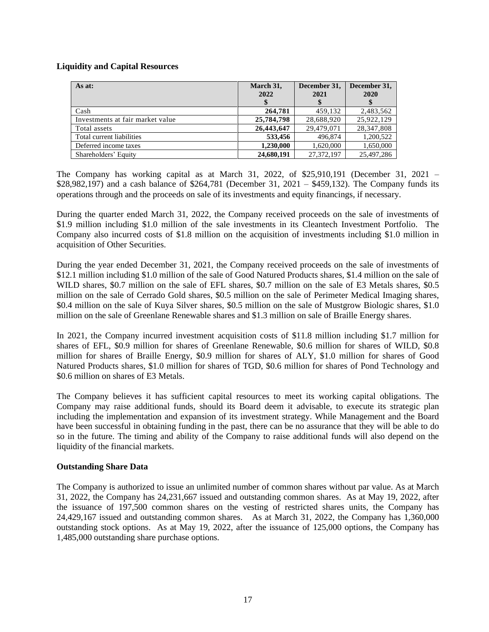# **Liquidity and Capital Resources**

| As at:                           | March 31,<br>2022 | December 31,<br>2021 | December 31,<br>2020 |
|----------------------------------|-------------------|----------------------|----------------------|
| Cash                             | 264,781           | 459,132              | 2,483,562            |
| Investments at fair market value | 25,784,798        | 28,688,920           | 25,922,129           |
| Total assets                     | 26,443,647        | 29,479,071           | 28,347,808           |
| Total current liabilities        | 533,456           | 496,874              | 1,200,522            |
| Deferred income taxes            | 1,230,000         | 1,620,000            | 1,650,000            |
| Shareholders' Equity             | 24,680,191        | 27,372,197           | 25,497,286           |

The Company has working capital as at March 31, 2022, of \$25,910,191 (December 31, 2021 – \$28,982,197) and a cash balance of \$264,781 (December 31, 2021 – \$459,132). The Company funds its operations through and the proceeds on sale of its investments and equity financings, if necessary.

During the quarter ended March 31, 2022, the Company received proceeds on the sale of investments of \$1.9 million including \$1.0 million of the sale investments in its Cleantech Investment Portfolio. The Company also incurred costs of \$1.8 million on the acquisition of investments including \$1.0 million in acquisition of Other Securities.

During the year ended December 31, 2021, the Company received proceeds on the sale of investments of \$12.1 million including \$1.0 million of the sale of Good Natured Products shares, \$1.4 million on the sale of WILD shares, \$0.7 million on the sale of EFL shares, \$0.7 million on the sale of E3 Metals shares, \$0.5 million on the sale of Cerrado Gold shares, \$0.5 million on the sale of Perimeter Medical Imaging shares, \$0.4 million on the sale of Kuya Silver shares, \$0.5 million on the sale of Mustgrow Biologic shares, \$1.0 million on the sale of Greenlane Renewable shares and \$1.3 million on sale of Braille Energy shares.

In 2021, the Company incurred investment acquisition costs of \$11.8 million including \$1.7 million for shares of EFL, \$0.9 million for shares of Greenlane Renewable, \$0.6 million for shares of WILD, \$0.8 million for shares of Braille Energy, \$0.9 million for shares of ALY, \$1.0 million for shares of Good Natured Products shares, \$1.0 million for shares of TGD, \$0.6 million for shares of Pond Technology and \$0.6 million on shares of E3 Metals.

The Company believes it has sufficient capital resources to meet its working capital obligations. The Company may raise additional funds, should its Board deem it advisable, to execute its strategic plan including the implementation and expansion of its investment strategy. While Management and the Board have been successful in obtaining funding in the past, there can be no assurance that they will be able to do so in the future. The timing and ability of the Company to raise additional funds will also depend on the liquidity of the financial markets.

## **Outstanding Share Data**

The Company is authorized to issue an unlimited number of common shares without par value. As at March 31, 2022, the Company has 24,231,667 issued and outstanding common shares. As at May 19, 2022, after the issuance of 197,500 common shares on the vesting of restricted shares units, the Company has 24,429,167 issued and outstanding common shares. As at March 31, 2022, the Company has 1,360,000 outstanding stock options. As at May 19, 2022, after the issuance of 125,000 options, the Company has 1,485,000 outstanding share purchase options.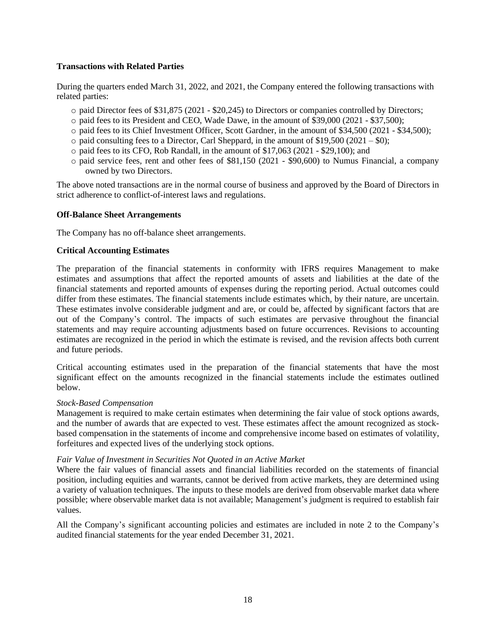## **Transactions with Related Parties**

During the quarters ended March 31, 2022, and 2021, the Company entered the following transactions with related parties:

- o paid Director fees of \$31,875 (2021 \$20,245) to Directors or companies controlled by Directors;
- o paid fees to its President and CEO, Wade Dawe, in the amount of \$39,000 (2021 \$37,500);
- o paid fees to its Chief Investment Officer, Scott Gardner, in the amount of \$34,500 (2021 \$34,500);
- $\circ$  paid consulting fees to a Director, Carl Sheppard, in the amount of \$19,500 (2021 \$0);
- $\circ$  paid fees to its CFO, Rob Randall, in the amount of \$17,063 (2021 \$29,100); and
- o paid service fees, rent and other fees of \$81,150 (2021 \$90,600) to Numus Financial, a company owned by two Directors.

The above noted transactions are in the normal course of business and approved by the Board of Directors in strict adherence to conflict-of-interest laws and regulations.

### **Off-Balance Sheet Arrangements**

The Company has no off-balance sheet arrangements.

### **Critical Accounting Estimates**

The preparation of the financial statements in conformity with IFRS requires Management to make estimates and assumptions that affect the reported amounts of assets and liabilities at the date of the financial statements and reported amounts of expenses during the reporting period. Actual outcomes could differ from these estimates. The financial statements include estimates which, by their nature, are uncertain. These estimates involve considerable judgment and are, or could be, affected by significant factors that are out of the Company's control. The impacts of such estimates are pervasive throughout the financial statements and may require accounting adjustments based on future occurrences. Revisions to accounting estimates are recognized in the period in which the estimate is revised, and the revision affects both current and future periods.

Critical accounting estimates used in the preparation of the financial statements that have the most significant effect on the amounts recognized in the financial statements include the estimates outlined below.

#### *Stock-Based Compensation*

Management is required to make certain estimates when determining the fair value of stock options awards, and the number of awards that are expected to vest. These estimates affect the amount recognized as stockbased compensation in the statements of income and comprehensive income based on estimates of volatility, forfeitures and expected lives of the underlying stock options.

#### *Fair Value of Investment in Securities Not Quoted in an Active Market*

Where the fair values of financial assets and financial liabilities recorded on the statements of financial position, including equities and warrants, cannot be derived from active markets, they are determined using a variety of valuation techniques. The inputs to these models are derived from observable market data where possible; where observable market data is not available; Management's judgment is required to establish fair values.

All the Company's significant accounting policies and estimates are included in note 2 to the Company's audited financial statements for the year ended December 31, 2021.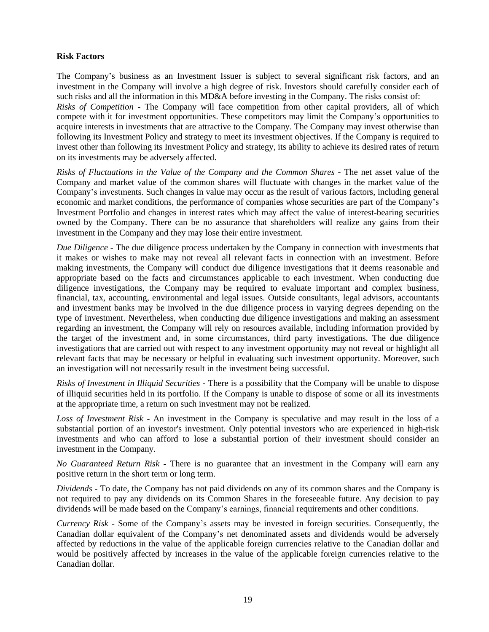### **Risk Factors**

The Company's business as an Investment Issuer is subject to several significant risk factors, and an investment in the Company will involve a high degree of risk. Investors should carefully consider each of such risks and all the information in this MD&A before investing in the Company. The risks consist of: *Risks of Competition* **-** The Company will face competition from other capital providers, all of which compete with it for investment opportunities. These competitors may limit the Company's opportunities to acquire interests in investments that are attractive to the Company. The Company may invest otherwise than following its Investment Policy and strategy to meet its investment objectives. If the Company is required to invest other than following its Investment Policy and strategy, its ability to achieve its desired rates of return on its investments may be adversely affected.

*Risks of Fluctuations in the Value of the Company and the Common Shares* **-** The net asset value of the Company and market value of the common shares will fluctuate with changes in the market value of the Company's investments. Such changes in value may occur as the result of various factors, including general economic and market conditions, the performance of companies whose securities are part of the Company's Investment Portfolio and changes in interest rates which may affect the value of interest-bearing securities owned by the Company. There can be no assurance that shareholders will realize any gains from their investment in the Company and they may lose their entire investment.

*Due Diligence* **-** The due diligence process undertaken by the Company in connection with investments that it makes or wishes to make may not reveal all relevant facts in connection with an investment. Before making investments, the Company will conduct due diligence investigations that it deems reasonable and appropriate based on the facts and circumstances applicable to each investment. When conducting due diligence investigations, the Company may be required to evaluate important and complex business, financial, tax, accounting, environmental and legal issues. Outside consultants, legal advisors, accountants and investment banks may be involved in the due diligence process in varying degrees depending on the type of investment. Nevertheless, when conducting due diligence investigations and making an assessment regarding an investment, the Company will rely on resources available, including information provided by the target of the investment and, in some circumstances, third party investigations. The due diligence investigations that are carried out with respect to any investment opportunity may not reveal or highlight all relevant facts that may be necessary or helpful in evaluating such investment opportunity. Moreover, such an investigation will not necessarily result in the investment being successful.

*Risks of Investment in Illiquid Securities* **-** There is a possibility that the Company will be unable to dispose of illiquid securities held in its portfolio. If the Company is unable to dispose of some or all its investments at the appropriate time, a return on such investment may not be realized.

*Loss of Investment Risk* **-** An investment in the Company is speculative and may result in the loss of a substantial portion of an investor's investment. Only potential investors who are experienced in high-risk investments and who can afford to lose a substantial portion of their investment should consider an investment in the Company.

*No Guaranteed Return Risk* **-** There is no guarantee that an investment in the Company will earn any positive return in the short term or long term.

*Dividends* **-** To date, the Company has not paid dividends on any of its common shares and the Company is not required to pay any dividends on its Common Shares in the foreseeable future. Any decision to pay dividends will be made based on the Company's earnings, financial requirements and other conditions.

*Currency Risk* **-** Some of the Company's assets may be invested in foreign securities. Consequently, the Canadian dollar equivalent of the Company's net denominated assets and dividends would be adversely affected by reductions in the value of the applicable foreign currencies relative to the Canadian dollar and would be positively affected by increases in the value of the applicable foreign currencies relative to the Canadian dollar.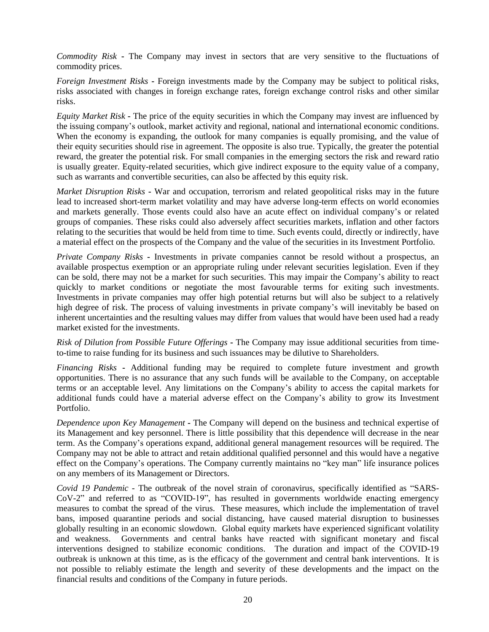*Commodity Risk* **-** The Company may invest in sectors that are very sensitive to the fluctuations of commodity prices.

*Foreign Investment Risks* **-** Foreign investments made by the Company may be subject to political risks, risks associated with changes in foreign exchange rates, foreign exchange control risks and other similar risks.

*Equity Market Risk* **-** The price of the equity securities in which the Company may invest are influenced by the issuing company's outlook, market activity and regional, national and international economic conditions. When the economy is expanding, the outlook for many companies is equally promising, and the value of their equity securities should rise in agreement. The opposite is also true. Typically, the greater the potential reward, the greater the potential risk. For small companies in the emerging sectors the risk and reward ratio is usually greater. Equity-related securities, which give indirect exposure to the equity value of a company, such as warrants and convertible securities, can also be affected by this equity risk.

*Market Disruption Risks* **-** War and occupation, terrorism and related geopolitical risks may in the future lead to increased short-term market volatility and may have adverse long-term effects on world economies and markets generally. Those events could also have an acute effect on individual company's or related groups of companies. These risks could also adversely affect securities markets, inflation and other factors relating to the securities that would be held from time to time. Such events could, directly or indirectly, have a material effect on the prospects of the Company and the value of the securities in its Investment Portfolio.

*Private Company Risks* **-** Investments in private companies cannot be resold without a prospectus, an available prospectus exemption or an appropriate ruling under relevant securities legislation. Even if they can be sold, there may not be a market for such securities. This may impair the Company's ability to react quickly to market conditions or negotiate the most favourable terms for exiting such investments. Investments in private companies may offer high potential returns but will also be subject to a relatively high degree of risk. The process of valuing investments in private company's will inevitably be based on inherent uncertainties and the resulting values may differ from values that would have been used had a ready market existed for the investments.

*Risk of Dilution from Possible Future Offerings* **-** The Company may issue additional securities from timeto-time to raise funding for its business and such issuances may be dilutive to Shareholders.

*Financing Risks* **-** Additional funding may be required to complete future investment and growth opportunities. There is no assurance that any such funds will be available to the Company, on acceptable terms or an acceptable level. Any limitations on the Company's ability to access the capital markets for additional funds could have a material adverse effect on the Company's ability to grow its Investment Portfolio.

*Dependence upon Key Management* **-** The Company will depend on the business and technical expertise of its Management and key personnel. There is little possibility that this dependence will decrease in the near term. As the Company's operations expand, additional general management resources will be required. The Company may not be able to attract and retain additional qualified personnel and this would have a negative effect on the Company's operations. The Company currently maintains no "key man" life insurance polices on any members of its Management or Directors.

*Covid 19 Pandemic -* The outbreak of the novel strain of coronavirus, specifically identified as ["SARS-](https://www.bing.com/search?q=SARS-CoV-2&filters=ufn%3a%22SARS-CoV-2%22+sid%3a%222e03e589-78a7-0eab-4479-e8fc633a03c3%22&FORM=SNAPST)[CoV-2"](https://www.bing.com/search?q=SARS-CoV-2&filters=ufn%3a%22SARS-CoV-2%22+sid%3a%222e03e589-78a7-0eab-4479-e8fc633a03c3%22&FORM=SNAPST) and referred to as "COVID-19", has resulted in governments worldwide enacting emergency measures to combat the spread of the virus. These measures, which include the implementation of travel bans, imposed quarantine periods and social distancing, have caused material disruption to businesses globally resulting in an economic slowdown. Global equity markets have experienced significant volatility and weakness. Governments and central banks have reacted with significant monetary and fiscal interventions designed to stabilize economic conditions. The duration and impact of the COVID-19 outbreak is unknown at this time, as is the efficacy of the government and central bank interventions. It is not possible to reliably estimate the length and severity of these developments and the impact on the financial results and conditions of the Company in future periods.